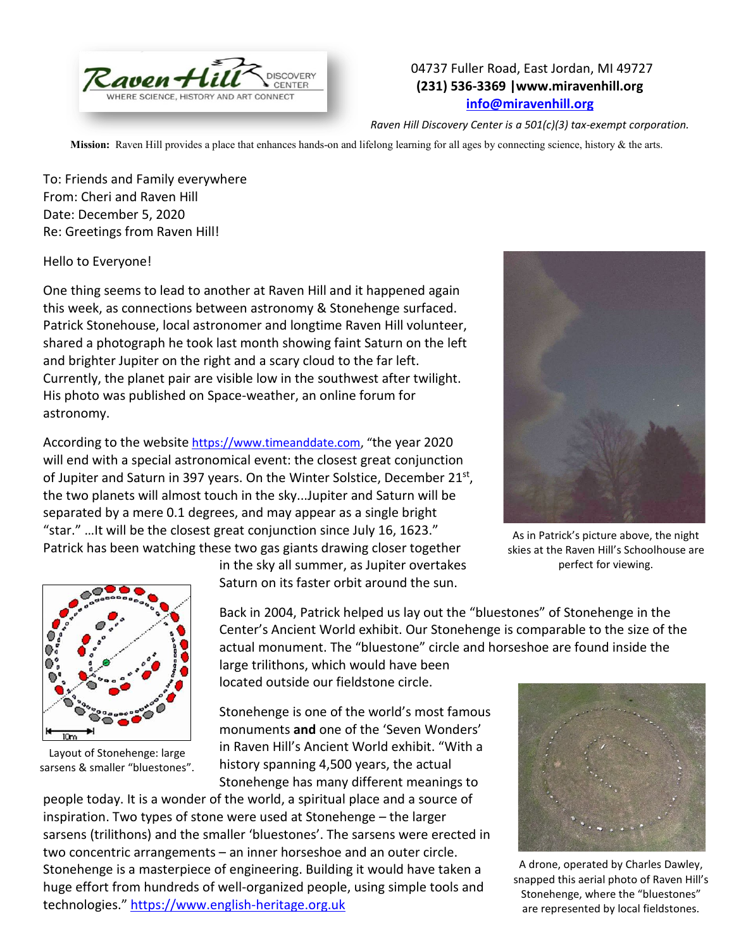

## 04737 Fuller Road, East Jordan, MI 49727 **(231) 536-3369 |www.miravenhill.org [info@miravenhill.org](mailto:info@miravenhill.org)**

*Raven Hill Discovery Center is a 501(c)(3) tax-exempt corporation.*

**Mission:** Raven Hill provides a place that enhances hands-on and lifelong learning for all ages by connecting science, history & the arts.

To: Friends and Family everywhere From: Cheri and Raven Hill Date: December 5, 2020 Re: Greetings from Raven Hill!

Hello to Everyone!

One thing seems to lead to another at Raven Hill and it happened again this week, as connections between astronomy & Stonehenge surfaced. Patrick Stonehouse, local astronomer and longtime Raven Hill volunteer, shared a photograph he took last month showing faint Saturn on the left and brighter Jupiter on the right and a scary cloud to the far left. Currently, the planet pair are visible low in the southwest after twilight. His photo was published on Space-weather, an online forum for astronomy.

According to the website [https://www.timeanddate.com,](https://www.timeanddate.com/) "the year 2020 will end with a special astronomical event: the closest great conjunction of Jupiter and Saturn in 397 years. On the Winter Solstice, December 21st, the two planets will almost touch in the sky...Jupiter and Saturn will be separated by a mere 0.1 degrees, and may appear as a single bright "star." …It will be the closest great conjunction since July 16, 1623." Patrick has been watching these two gas giants drawing closer together



As in Patrick's picture above, the night skies at the Raven Hill's Schoolhouse are perfect for viewing.



Layout of Stonehenge: large sarsens & smaller "bluestones".

in the sky all summer, as Jupiter overtakes Saturn on its faster orbit around the sun.

Back in 2004, Patrick helped us lay out the "bluestones" of Stonehenge in the Center's Ancient World exhibit. Our Stonehenge is comparable to the size of the actual monument. The "bluestone" circle and horseshoe are found inside the large trilithons, which would have been

located outside our fieldstone circle.

Stonehenge is one of the world's most famous monuments **and** one of the 'Seven Wonders' in Raven Hill's Ancient World exhibit. "With a history spanning 4,500 years, the actual Stonehenge has many different meanings to

people today. It is a wonder of the world, a spiritual place and a source of inspiration. Two types of stone were used at Stonehenge – the larger sarsens (trilithons) and the smaller 'bluestones'. The sarsens were erected in two concentric arrangements – an inner horseshoe and an outer circle. Stonehenge is a masterpiece of engineering. Building it would have taken a huge effort from hundreds of well-organized people, using simple tools and technologies." [https://www.english-heritage.org.uk](https://www.english-heritage.org.uk/)



A drone, operated by Charles Dawley, snapped this aerial photo of Raven Hill's Stonehenge, where the "bluestones" are represented by local fieldstones.